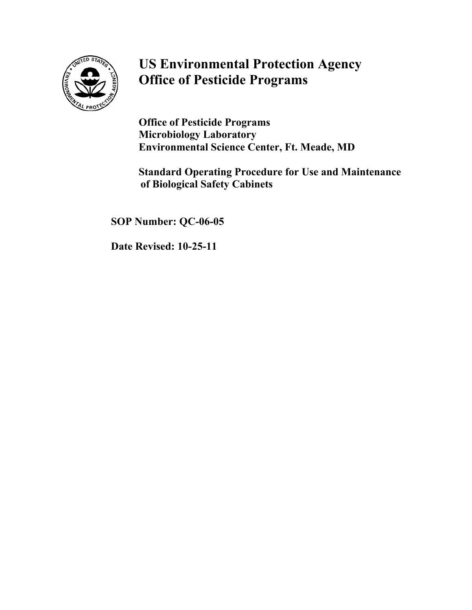

## **US Environmental Protection Agency Office of Pesticide Programs**

**Office of Pesticide Programs Microbiology Laboratory Environmental Science Center, Ft. Meade, MD** 

**Standard Operating Procedure for Use and Maintenance of Biological Safety Cabinets**

**SOP Number: QC-06-05** 

**Date Revised: 10-25-11**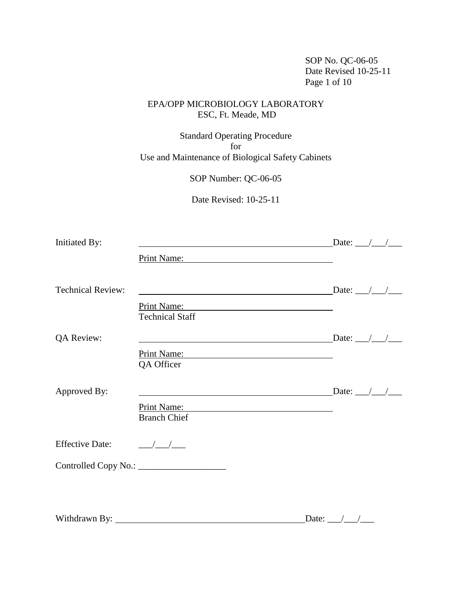SOP No. QC-06-05 Date Revised 10-25-11 Page 1 of 10

#### EPA/OPP MICROBIOLOGY LABORATORY ESC, Ft. Meade, MD

Standard Operating Procedure for Use and Maintenance of Biological Safety Cabinets

SOP Number: QC-06-05

Date Revised: 10-25-11

| Initiated By:            | <u> 1989 - Andrea Branden, amerikansk politiker (d. 1989)</u>                                                         | Date: $\angle$ / $\angle$                        |
|--------------------------|-----------------------------------------------------------------------------------------------------------------------|--------------------------------------------------|
|                          | Print Name:                                                                                                           |                                                  |
| <b>Technical Review:</b> |                                                                                                                       | Date: $\_\_\_\_\_\_\_\_\_\_\_\_\_\_\_\_\_\_\_\_$ |
|                          | Print Name:<br><u> 1989 - Andrea Brand, Amerikaansk politik (</u>                                                     |                                                  |
|                          | <b>Technical Staff</b>                                                                                                |                                                  |
| QA Review:               | and the control of the control of the control of the control of the control of the control of the control of the      | Date: $\_\_\_\_\_\_\_\_\_\_\_\_\_\_\_\_\_\_\_$   |
|                          | Print Name: 2008                                                                                                      |                                                  |
|                          | QA Officer                                                                                                            |                                                  |
| Approved By:             | <u>a sa barang sa mga sangang nagarang sa mga sangang ng mga sangang ng mga sangang ng mga sangang ng mga sangang</u> | Date: $\angle$ / /                               |
|                          | Print Name:                                                                                                           |                                                  |
|                          | <b>Branch Chief</b>                                                                                                   |                                                  |
| <b>Effective Date:</b>   | $\frac{1}{\sqrt{1-\frac{1}{2}}}$                                                                                      |                                                  |
|                          |                                                                                                                       |                                                  |
|                          |                                                                                                                       |                                                  |
|                          |                                                                                                                       |                                                  |
|                          |                                                                                                                       |                                                  |

Withdrawn By: Date: \_\_\_/\_\_\_/\_\_\_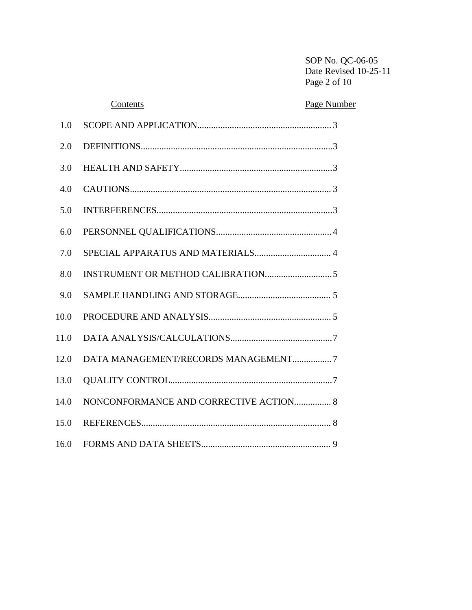SOP No. QC-06-05 Date Revised 10-25-11 Page 2 of 10

# <span id="page-2-0"></span> Contents Page Number 1.0 SCOPE AND APPLICATION.........................................................[. 3](#page-2-0) 2.0 DEFINITIONS..................................................................................[. 3](#page-3-0) 3.0 HEALTH AND SAFETY.................................................................[. 3](#page-3-1) 4.0 CAUTIONS....................................................................................... [3](#page-3-2) 5.0 INTERFERENCES...........................................................................[. 3](#page-3-3) 6.0 PERSONNEL QUALIFICATIONS.................................................[. 4](#page-4-0) 7.0 SPECIAL APPARATUS AND MATERIALS................................. [4](#page-4-1) 8.0 INSTRUMENT OR METHOD CALIBRATION............................[. 5](#page-5-0) 9.0 SAMPLE HANDLING AND STORAGE........................................ [5](#page-5-1) 10.0 PROCEDURE AND ANALYSIS..................................................... [5](#page-5-2) 11.0 DATA ANALYSIS/CALCULATIONS...........................................[. 7](#page-7-0) 12.0 DATA MANAGEMENT/RECORDS MANAGEMENT................[. 7](#page-7-1) 13.0 QUALITY CONTROL.....................................................................[. 7](#page-7-2) 14.0 NONCONFORMANCE AND CORRECTIVE ACTION................ [8](#page-8-0) 15.0 REFERENCES.................................................................................. [8](#page-8-1) 16.0 FORMS AND DATA SHEETS........................................................ [9](#page-9-0)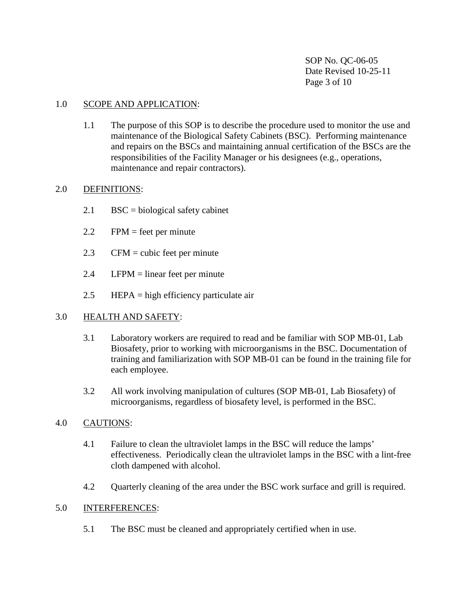SOP No. QC-06-05 Date Revised 10-25-11 Page 3 of 10

#### 1.0 SCOPE AND APPLICATION:

1.1 The purpose of this SOP is to describe the procedure used to monitor the use and maintenance of the Biological Safety Cabinets (BSC). Performing maintenance and repairs on the BSCs and maintaining annual certification of the BSCs are the responsibilities of the Facility Manager or his designees (e.g., operations, maintenance and repair contractors).

#### <span id="page-3-0"></span>2.0 DEFINITIONS:

- $2.1$  BSC = biological safety cabinet
- 2.2 FPM = feet per minute
- 2.3 CFM = cubic feet per minute
- $2.4$  LFPM = linear feet per minute
- 2.5 HEPA = high efficiency particulate air

#### <span id="page-3-1"></span>3.0 HEALTH AND SAFETY:

- 3.1 Laboratory workers are required to read and be familiar with SOP MB-01, Lab Biosafety, prior to working with microorganisms in the BSC. Documentation of training and familiarization with SOP MB-01 can be found in the training file for each employee.
- 3.2 All work involving manipulation of cultures (SOP MB-01, Lab Biosafety) of microorganisms, regardless of biosafety level, is performed in the BSC.

#### <span id="page-3-2"></span>4.0 CAUTIONS:

- 4.1 Failure to clean the ultraviolet lamps in the BSC will reduce the lamps' effectiveness. Periodically clean the ultraviolet lamps in the BSC with a lint-free cloth dampened with alcohol.
- 4.2 Quarterly cleaning of the area under the BSC work surface and grill is required.

#### <span id="page-3-3"></span>5.0 INTERFERENCES:

5.1 The BSC must be cleaned and appropriately certified when in use.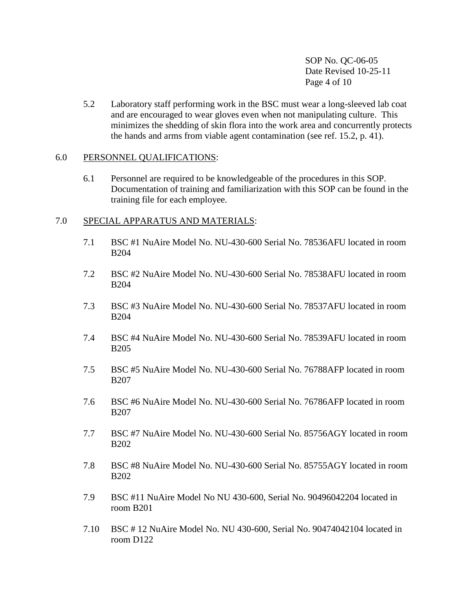SOP No. QC-06-05 Date Revised 10-25-11 Page 4 of 10

5.2 Laboratory staff performing work in the BSC must wear a long-sleeved lab coat and are encouraged to wear gloves even when not manipulating culture. This minimizes the shedding of skin flora into the work area and concurrently protects the hands and arms from viable agent contamination (see ref. 15.2, p. 41).

#### <span id="page-4-0"></span>6.0 PERSONNEL QUALIFICATIONS:

6.1 Personnel are required to be knowledgeable of the procedures in this SOP. Documentation of training and familiarization with this SOP can be found in the training file for each employee.

#### <span id="page-4-1"></span>7.0 SPECIAL APPARATUS AND MATERIALS:

- 7.1 BSC #1 NuAire Model No. NU-430-600 Serial No. 78536AFU located in room B204
- 7.2 BSC #2 NuAire Model No. NU-430-600 Serial No. 78538AFU located in room B204
- 7.3 BSC #3 NuAire Model No. NU-430-600 Serial No. 78537AFU located in room B204
- 7.4 BSC #4 NuAire Model No. NU-430-600 Serial No. 78539AFU located in room B205
- 7.5 BSC #5 NuAire Model No. NU-430-600 Serial No. 76788AFP located in room B207
- 7.6 BSC #6 NuAire Model No. NU-430-600 Serial No. 76786AFP located in room B207
- 7.7 BSC #7 NuAire Model No. NU-430-600 Serial No. 85756AGY located in room B202
- 7.8 BSC #8 NuAire Model No. NU-430-600 Serial No. 85755AGY located in room B202
- 7.9 BSC #11 NuAire Model No NU 430-600, Serial No. 90496042204 located in room B201
- 7.10 BSC # 12 NuAire Model No. NU 430-600, Serial No. 90474042104 located in room D122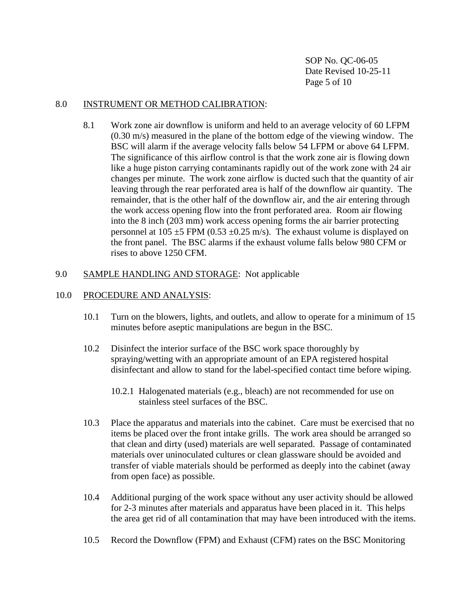SOP No. QC-06-05 Date Revised 10-25-11 Page 5 of 10

#### <span id="page-5-0"></span>8.0 INSTRUMENT OR METHOD CALIBRATION:

8.1 Work zone air downflow is uniform and held to an average velocity of 60 LFPM (0.30 m/s) measured in the plane of the bottom edge of the viewing window. The BSC will alarm if the average velocity falls below 54 LFPM or above 64 LFPM. The significance of this airflow control is that the work zone air is flowing down like a huge piston carrying contaminants rapidly out of the work zone with 24 air changes per minute. The work zone airflow is ducted such that the quantity of air leaving through the rear perforated area is half of the downflow air quantity. The remainder, that is the other half of the downflow air, and the air entering through the work access opening flow into the front perforated area. Room air flowing into the 8 inch (203 mm) work access opening forms the air barrier protecting personnel at  $105 \pm 5$  FPM (0.53  $\pm$ 0.25 m/s). The exhaust volume is displayed on the front panel. The BSC alarms if the exhaust volume falls below 980 CFM or rises to above 1250 CFM.

#### <span id="page-5-1"></span>9.0 SAMPLE HANDLING AND STORAGE: Not applicable

#### <span id="page-5-2"></span>10.0 PROCEDURE AND ANALYSIS:

- 10.1 Turn on the blowers, lights, and outlets, and allow to operate for a minimum of 15 minutes before aseptic manipulations are begun in the BSC.
- 10.2 Disinfect the interior surface of the BSC work space thoroughly by spraying/wetting with an appropriate amount of an EPA registered hospital disinfectant and allow to stand for the label-specified contact time before wiping.
	- 10.2.1 Halogenated materials (e.g., bleach) are not recommended for use on stainless steel surfaces of the BSC.
- 10.3 Place the apparatus and materials into the cabinet. Care must be exercised that no items be placed over the front intake grills. The work area should be arranged so that clean and dirty (used) materials are well separated. Passage of contaminated materials over uninoculated cultures or clean glassware should be avoided and transfer of viable materials should be performed as deeply into the cabinet (away from open face) as possible.
- 10.4 Additional purging of the work space without any user activity should be allowed for 2-3 minutes after materials and apparatus have been placed in it. This helps the area get rid of all contamination that may have been introduced with the items.
- 10.5 Record the Downflow (FPM) and Exhaust (CFM) rates on the BSC Monitoring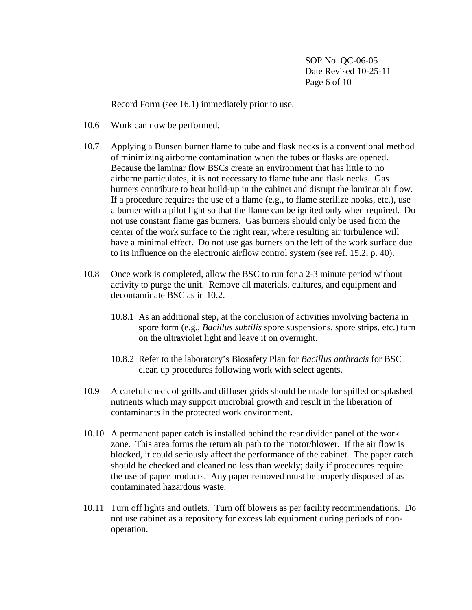SOP No. QC-06-05 Date Revised 10-25-11 Page 6 of 10

Record Form (see 16.1) immediately prior to use.

- 10.6 Work can now be performed.
- 10.7 Applying a Bunsen burner flame to tube and flask necks is a conventional method of minimizing airborne contamination when the tubes or flasks are opened. Because the laminar flow BSCs create an environment that has little to no airborne particulates, it is not necessary to flame tube and flask necks. Gas burners contribute to heat build-up in the cabinet and disrupt the laminar air flow. If a procedure requires the use of a flame (e.g., to flame sterilize hooks, etc.), use a burner with a pilot light so that the flame can be ignited only when required. Do not use constant flame gas burners. Gas burners should only be used from the center of the work surface to the right rear, where resulting air turbulence will have a minimal effect. Do not use gas burners on the left of the work surface due to its influence on the electronic airflow control system (see ref. 15.2, p. 40).
- 10.8 Once work is completed, allow the BSC to run for a 2-3 minute period without activity to purge the unit. Remove all materials, cultures, and equipment and decontaminate BSC as in 10.2.
	- 10.8.1 As an additional step, at the conclusion of activities involving bacteria in spore form (e.g., *Bacillus subtilis* spore suspensions, spore strips, etc.) turn on the ultraviolet light and leave it on overnight.
	- 10.8.2 Refer to the laboratory's Biosafety Plan for *Bacillus anthracis* for BSC clean up procedures following work with select agents.
- 10.9 A careful check of grills and diffuser grids should be made for spilled or splashed nutrients which may support microbial growth and result in the liberation of contaminants in the protected work environment.
- 10.10 A permanent paper catch is installed behind the rear divider panel of the work zone. This area forms the return air path to the motor/blower. If the air flow is blocked, it could seriously affect the performance of the cabinet. The paper catch should be checked and cleaned no less than weekly; daily if procedures require the use of paper products. Any paper removed must be properly disposed of as contaminated hazardous waste.
- 10.11 Turn off lights and outlets. Turn off blowers as per facility recommendations. Do not use cabinet as a repository for excess lab equipment during periods of nonoperation.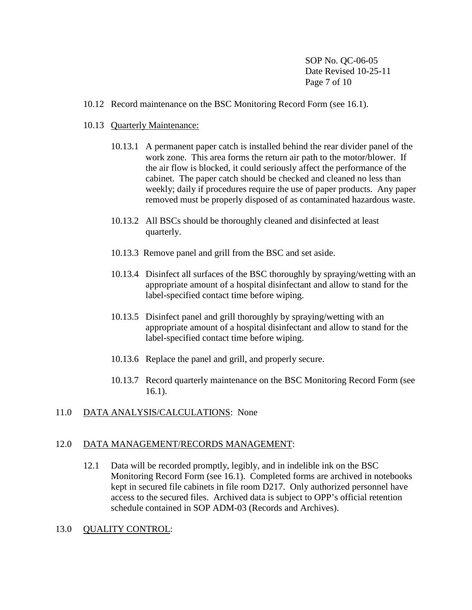SOP No. QC-06-05 Date Revised 10-25-11 Page 7 of 10

- 10.12 Record maintenance on the BSC Monitoring Record Form (see 16.1).
- 10.13 Quarterly Maintenance:
	- 10.13.1 A permanent paper catch is installed behind the rear divider panel of the work zone. This area forms the return air path to the motor/blower. If the air flow is blocked, it could seriously affect the performance of the cabinet. The paper catch should be checked and cleaned no less than weekly; daily if procedures require the use of paper products. Any paper removed must be properly disposed of as contaminated hazardous waste.
	- 10.13.2 All BSCs should be thoroughly cleaned and disinfected at least quarterly.
	- 10.13.3 Remove panel and grill from the BSC and set aside.
	- 10.13.4 Disinfect all surfaces of the BSC thoroughly by spraying/wetting with an appropriate amount of a hospital disinfectant and allow to stand for the label-specified contact time before wiping.
	- 10.13.5 Disinfect panel and grill thoroughly by spraying/wetting with an appropriate amount of a hospital disinfectant and allow to stand for the label-specified contact time before wiping.
	- 10.13.6 Replace the panel and grill, and properly secure.
	- 10.13.7 Record quarterly maintenance on the BSC Monitoring Record Form (see 16.1).

#### <span id="page-7-0"></span>11.0 DATA ANALYSIS/CALCULATIONS: None

#### <span id="page-7-1"></span>12.0 DATA MANAGEMENT/RECORDS MANAGEMENT:

12.1 Data will be recorded promptly, legibly, and in indelible ink on the BSC Monitoring Record Form (see 16.1). Completed forms are archived in notebooks kept in secured file cabinets in file room D217. Only authorized personnel have access to the secured files. Archived data is subject to OPP's official retention schedule contained in SOP ADM-03 (Records and Archives).

#### <span id="page-7-2"></span>13.0 QUALITY CONTROL: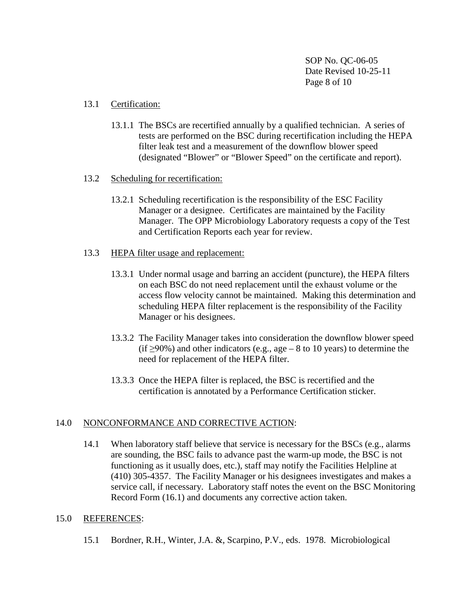SOP No. QC-06-05 Date Revised 10-25-11 Page 8 of 10

#### 13.1 Certification:

13.1.1 The BSCs are recertified annually by a qualified technician. A series of tests are performed on the BSC during recertification including the HEPA filter leak test and a measurement of the downflow blower speed (designated "Blower" or "Blower Speed" on the certificate and report).

#### 13.2 Scheduling for recertification:

- 13.2.1 Scheduling recertification is the responsibility of the ESC Facility Manager or a designee. Certificates are maintained by the Facility Manager. The OPP Microbiology Laboratory requests a copy of the Test and Certification Reports each year for review.
- 13.3 HEPA filter usage and replacement:
	- 13.3.1 Under normal usage and barring an accident (puncture), the HEPA filters on each BSC do not need replacement until the exhaust volume or the access flow velocity cannot be maintained. Making this determination and scheduling HEPA filter replacement is the responsibility of the Facility Manager or his designees.
	- 13.3.2 The Facility Manager takes into consideration the downflow blower speed (if  $\geq$ 90%) and other indicators (e.g., age – 8 to 10 years) to determine the need for replacement of the HEPA filter.
	- 13.3.3 Once the HEPA filter is replaced, the BSC is recertified and the certification is annotated by a Performance Certification sticker.

#### <span id="page-8-0"></span>14.0 NONCONFORMANCE AND CORRECTIVE ACTION:

14.1 When laboratory staff believe that service is necessary for the BSCs (e.g., alarms are sounding, the BSC fails to advance past the warm-up mode, the BSC is not functioning as it usually does, etc.), staff may notify the Facilities Helpline at (410) 305-4357. The Facility Manager or his designees investigates and makes a service call, if necessary. Laboratory staff notes the event on the BSC Monitoring Record Form (16.1) and documents any corrective action taken.

#### <span id="page-8-1"></span>15.0 REFERENCES:

15.1 Bordner, R.H., Winter, J.A. &, Scarpino, P.V., eds. 1978. Microbiological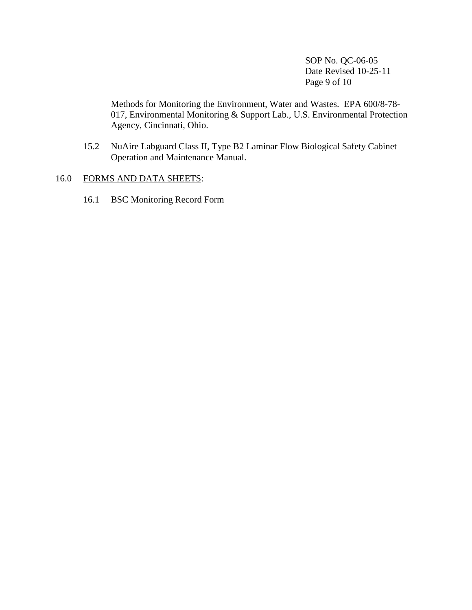SOP No. QC-06-05 Date Revised 10-25-11 Page 9 of 10

Methods for Monitoring the Environment, Water and Wastes. EPA 600/8-78- 017, Environmental Monitoring & Support Lab., U.S. Environmental Protection Agency, Cincinnati, Ohio.

15.2 NuAire Labguard Class II, Type B2 Laminar Flow Biological Safety Cabinet Operation and Maintenance Manual.

#### <span id="page-9-0"></span>16.0 FORMS AND DATA SHEETS:

16.1 BSC Monitoring Record Form